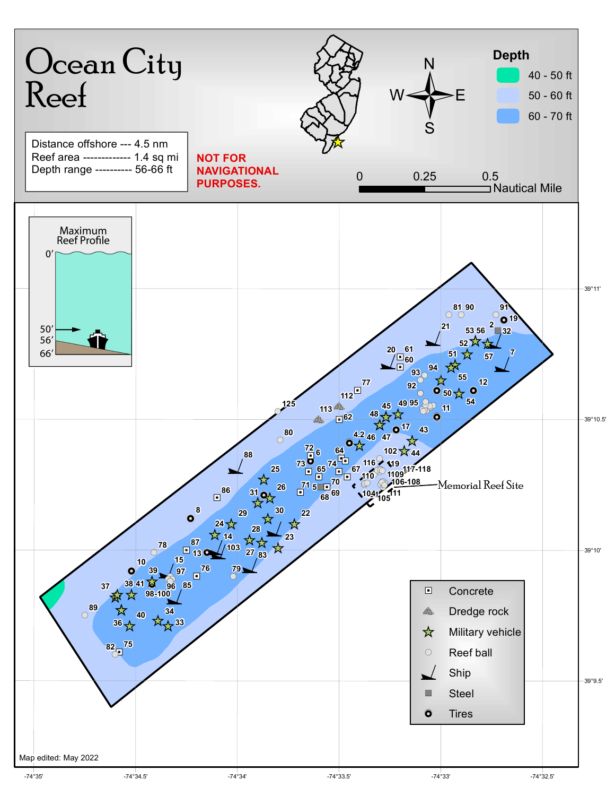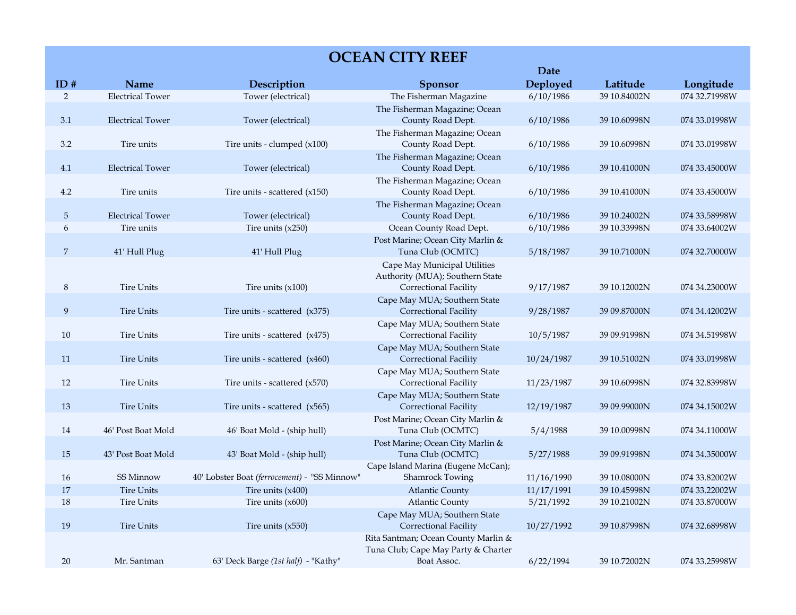## **OCEAN CITY REEF**

|                |                         |                                              |                                                       | Date       |              |               |
|----------------|-------------------------|----------------------------------------------|-------------------------------------------------------|------------|--------------|---------------|
| ID#            | Name                    | Description                                  | Sponsor                                               | Deployed   | Latitude     | Longitude     |
| $\overline{2}$ | <b>Electrical Tower</b> | Tower (electrical)                           | The Fisherman Magazine                                | 6/10/1986  | 39 10.84002N | 074 32.71998W |
|                |                         |                                              | The Fisherman Magazine; Ocean                         |            |              |               |
| 3.1            | <b>Electrical Tower</b> | Tower (electrical)                           | County Road Dept.                                     | 6/10/1986  | 39 10.60998N | 074 33.01998W |
|                |                         |                                              | The Fisherman Magazine; Ocean                         |            |              |               |
| $3.2\,$        | Tire units              | Tire units - clumped $(x100)$                | County Road Dept.                                     | 6/10/1986  | 39 10.60998N | 074 33.01998W |
|                |                         |                                              | The Fisherman Magazine; Ocean                         |            |              |               |
| 4.1            | <b>Electrical Tower</b> | Tower (electrical)                           | County Road Dept.                                     | 6/10/1986  | 39 10.41000N | 074 33.45000W |
|                |                         |                                              | The Fisherman Magazine; Ocean                         |            |              |               |
| 4.2            | Tire units              | Tire units - scattered $(x150)$              | County Road Dept.                                     | 6/10/1986  | 39 10.41000N | 074 33.45000W |
|                |                         |                                              | The Fisherman Magazine; Ocean                         |            |              |               |
| 5              | <b>Electrical Tower</b> | Tower (electrical)                           | County Road Dept.                                     | 6/10/1986  | 39 10.24002N | 074 33.58998W |
| 6              | Tire units              | Tire units $(x250)$                          | Ocean County Road Dept.                               | 6/10/1986  | 39 10.33998N | 074 33.64002W |
|                |                         |                                              | Post Marine; Ocean City Marlin &                      |            |              |               |
| 7              | 41' Hull Plug           | 41' Hull Plug                                | Tuna Club (OCMTC)                                     | 5/18/1987  | 39 10.71000N | 074 32.70000W |
|                |                         |                                              | Cape May Municipal Utilities                          |            |              |               |
|                |                         |                                              | Authority (MUA); Southern State                       |            |              |               |
| 8              | <b>Tire Units</b>       | Tire units $(x100)$                          | Correctional Facility                                 | 9/17/1987  | 39 10.12002N | 074 34.23000W |
|                |                         |                                              | Cape May MUA; Southern State                          |            |              |               |
| 9              | <b>Tire Units</b>       | Tire units - scattered $(x375)$              | Correctional Facility                                 | 9/28/1987  | 39 09.87000N | 074 34.42002W |
|                | <b>Tire Units</b>       | Tire units - scattered (x475)                | Cape May MUA; Southern State                          |            |              | 074 34.51998W |
| 10             |                         |                                              | Correctional Facility                                 | 10/5/1987  | 39 09.91998N |               |
| 11             | <b>Tire Units</b>       | Tire units - scattered $(x460)$              | Cape May MUA; Southern State<br>Correctional Facility | 10/24/1987 | 39 10.51002N | 074 33.01998W |
|                |                         |                                              | Cape May MUA; Southern State                          |            |              |               |
| 12             | <b>Tire Units</b>       | Tire units - scattered $(x570)$              | Correctional Facility                                 | 11/23/1987 | 39 10.60998N | 074 32.83998W |
|                |                         |                                              | Cape May MUA; Southern State                          |            |              |               |
| 13             | <b>Tire Units</b>       | Tire units - scattered $(x565)$              | Correctional Facility                                 | 12/19/1987 | 39 09.99000N | 074 34.15002W |
|                |                         |                                              | Post Marine; Ocean City Marlin &                      |            |              |               |
| 14             | 46' Post Boat Mold      | 46' Boat Mold - (ship hull)                  | Tuna Club (OCMTC)                                     | 5/4/1988   | 39 10.00998N | 074 34.11000W |
|                |                         |                                              | Post Marine; Ocean City Marlin &                      |            |              |               |
| 15             | 43' Post Boat Mold      | 43' Boat Mold - (ship hull)                  | Tuna Club (OCMTC)                                     | 5/27/1988  | 39 09.91998N | 074 34.35000W |
|                |                         |                                              | Cape Island Marina (Eugene McCan);                    |            |              |               |
| 16             | SS Minnow               | 40' Lobster Boat (ferrocement) - "SS Minnow" | <b>Shamrock Towing</b>                                | 11/16/1990 | 39 10.08000N | 074 33.82002W |
| 17             | <b>Tire Units</b>       | Tire units (x400)                            | <b>Atlantic County</b>                                | 11/17/1991 | 39 10.45998N | 074 33.22002W |
| $18\,$         | <b>Tire Units</b>       | Tire units $(x600)$                          | <b>Atlantic County</b>                                | 5/21/1992  | 39 10.21002N | 074 33.87000W |
|                |                         |                                              | Cape May MUA; Southern State                          |            |              |               |
| 19             | <b>Tire Units</b>       | Tire units $(x550)$                          | Correctional Facility                                 | 10/27/1992 | 39 10.87998N | 074 32.68998W |
|                |                         |                                              | Rita Santman; Ocean County Marlin &                   |            |              |               |
|                |                         |                                              | Tuna Club; Cape May Party & Charter                   |            |              |               |
| 20             | Mr. Santman             | 63' Deck Barge (1st half) - "Kathy"          | Boat Assoc.                                           | 6/22/1994  | 39 10.72002N | 074 33.25998W |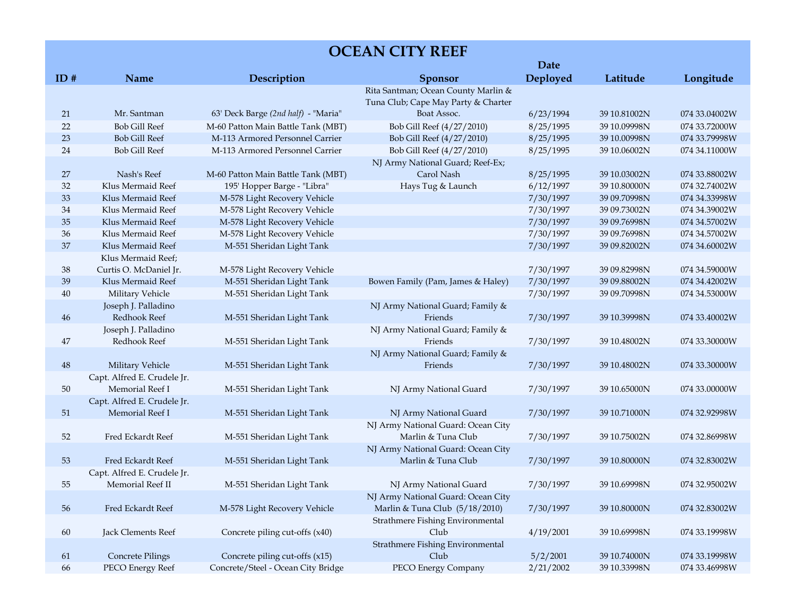| <b>OCEAN CITY REEF</b> |                                                 |                                     |                                                                            |           |              |               |
|------------------------|-------------------------------------------------|-------------------------------------|----------------------------------------------------------------------------|-----------|--------------|---------------|
|                        |                                                 |                                     |                                                                            | Date      |              |               |
| ID#                    | Name                                            | Description                         | <b>Sponsor</b>                                                             | Deployed  | Latitude     | Longitude     |
|                        |                                                 |                                     | Rita Santman; Ocean County Marlin &<br>Tuna Club; Cape May Party & Charter |           |              |               |
| 21                     | Mr. Santman                                     | 63' Deck Barge (2nd half) - "Maria" | Boat Assoc.                                                                | 6/23/1994 | 39 10.81002N | 074 33.04002W |
| 22                     | <b>Bob Gill Reef</b>                            | M-60 Patton Main Battle Tank (MBT)  | Bob Gill Reef (4/27/2010)                                                  | 8/25/1995 | 39 10.09998N | 074 33.72000W |
| 23                     | <b>Bob Gill Reef</b>                            | M-113 Armored Personnel Carrier     | Bob Gill Reef (4/27/2010)                                                  | 8/25/1995 | 39 10.00998N | 074 33.79998W |
| 24                     | <b>Bob Gill Reef</b>                            | M-113 Armored Personnel Carrier     | Bob Gill Reef (4/27/2010)                                                  | 8/25/1995 | 39 10.06002N | 074 34.11000W |
| 27                     | Nash's Reef                                     | M-60 Patton Main Battle Tank (MBT)  | NJ Army National Guard; Reef-Ex;<br>Carol Nash                             | 8/25/1995 | 39 10.03002N | 074 33.88002W |
| 32                     | Klus Mermaid Reef                               | 195' Hopper Barge - "Libra"         | Hays Tug & Launch                                                          | 6/12/1997 | 39 10.80000N | 074 32.74002W |
| 33                     | Klus Mermaid Reef                               | M-578 Light Recovery Vehicle        |                                                                            | 7/30/1997 | 39 09.70998N | 074 34.33998W |
| 34                     | Klus Mermaid Reef                               | M-578 Light Recovery Vehicle        |                                                                            | 7/30/1997 | 39 09.73002N | 074 34.39002W |
| 35                     | Klus Mermaid Reef                               | M-578 Light Recovery Vehicle        |                                                                            | 7/30/1997 | 39 09.76998N | 074 34.57002W |
| 36                     | Klus Mermaid Reef                               | M-578 Light Recovery Vehicle        |                                                                            | 7/30/1997 | 39 09.76998N | 074 34.57002W |
| 37                     | Klus Mermaid Reef                               | M-551 Sheridan Light Tank           |                                                                            | 7/30/1997 | 39 09.82002N | 074 34.60002W |
|                        | Klus Mermaid Reef;                              |                                     |                                                                            |           |              |               |
| 38                     | Curtis O. McDaniel Jr.                          | M-578 Light Recovery Vehicle        |                                                                            | 7/30/1997 | 39 09.82998N | 074 34.59000W |
| 39                     | Klus Mermaid Reef                               | M-551 Sheridan Light Tank           | Bowen Family (Pam, James & Haley)                                          | 7/30/1997 | 39 09.88002N | 074 34.42002W |
| 40                     | Military Vehicle                                | M-551 Sheridan Light Tank           |                                                                            | 7/30/1997 | 39 09.70998N | 074 34.53000W |
| 46                     | Joseph J. Palladino<br><b>Redhook Reef</b>      | M-551 Sheridan Light Tank           | NJ Army National Guard; Family &<br>Friends                                | 7/30/1997 | 39 10.39998N | 074 33.40002W |
| $47\,$                 | Joseph J. Palladino<br>Redhook Reef             | M-551 Sheridan Light Tank           | NJ Army National Guard; Family &<br>Friends                                | 7/30/1997 | 39 10.48002N | 074 33.30000W |
|                        |                                                 |                                     | NJ Army National Guard; Family &                                           |           |              |               |
| $\bf 48$               | Military Vehicle                                | M-551 Sheridan Light Tank           | Friends                                                                    | 7/30/1997 | 39 10.48002N | 074 33.30000W |
| 50                     | Capt. Alfred E. Crudele Jr.<br>Memorial Reef I  | M-551 Sheridan Light Tank           | NJ Army National Guard                                                     | 7/30/1997 | 39 10.65000N | 074 33.00000W |
|                        | Capt. Alfred E. Crudele Jr.                     |                                     |                                                                            |           |              |               |
| 51                     | Memorial Reef I                                 | M-551 Sheridan Light Tank           | NJ Army National Guard                                                     | 7/30/1997 | 39 10.71000N | 074 32.92998W |
| 52                     | Fred Eckardt Reef                               | M-551 Sheridan Light Tank           | NJ Army National Guard: Ocean City<br>Marlin & Tuna Club                   | 7/30/1997 | 39 10.75002N | 074 32.86998W |
| 53                     | Fred Eckardt Reef                               | M-551 Sheridan Light Tank           | NJ Army National Guard: Ocean City<br>Marlin & Tuna Club                   | 7/30/1997 | 39 10.80000N | 074 32.83002W |
| 55                     | Capt. Alfred E. Crudele Jr.<br>Memorial Reef II | M-551 Sheridan Light Tank           | NJ Army National Guard                                                     | 7/30/1997 | 39 10.69998N | 074 32.95002W |
| 56                     | Fred Eckardt Reef                               | M-578 Light Recovery Vehicle        | NJ Army National Guard: Ocean City<br>Marlin & Tuna Club (5/18/2010)       | 7/30/1997 | 39 10.80000N | 074 32.83002W |
| $60\,$                 | Jack Clements Reef                              | Concrete piling cut-offs (x40)      | Strathmere Fishing Environmental<br>Club                                   | 4/19/2001 | 39 10.69998N | 074 33.19998W |
|                        |                                                 |                                     | Strathmere Fishing Environmental                                           |           |              |               |
| 61                     | <b>Concrete Pilings</b>                         | Concrete piling cut-offs (x15)      | Club                                                                       | 5/2/2001  | 39 10.74000N | 074 33.19998W |
| 66                     | PECO Energy Reef                                | Concrete/Steel - Ocean City Bridge  | PECO Energy Company                                                        | 2/21/2002 | 39 10.33998N | 074 33.46998W |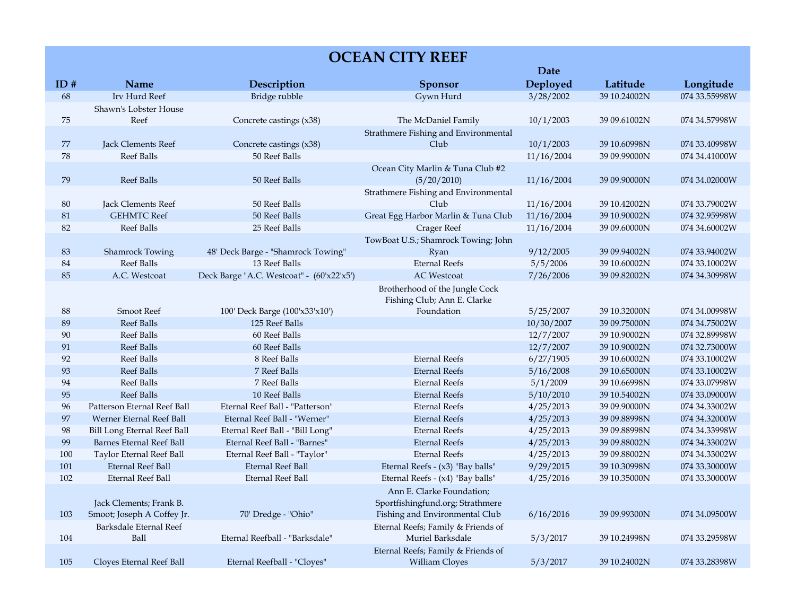| <b>OCEAN CITY REEF</b> |                                    |                                           |                                      |            |              |               |
|------------------------|------------------------------------|-------------------------------------------|--------------------------------------|------------|--------------|---------------|
|                        |                                    |                                           |                                      | Date       |              |               |
| ID#                    | Name                               | Description                               | <b>Sponsor</b>                       | Deployed   | Latitude     | Longitude     |
| 68                     | Irv Hurd Reef                      | Bridge rubble                             | Gywn Hurd                            | 3/28/2002  | 39 10.24002N | 074 33.55998W |
|                        | Shawn's Lobster House              |                                           |                                      |            |              |               |
| 75                     | Reef                               | Concrete castings (x38)                   | The McDaniel Family                  | 10/1/2003  | 39 09.61002N | 074 34.57998W |
|                        |                                    |                                           | Strathmere Fishing and Environmental |            |              |               |
| 77                     | Jack Clements Reef                 | Concrete castings (x38)                   | Club                                 | 10/1/2003  | 39 10.60998N | 074 33.40998W |
| 78                     | <b>Reef Balls</b>                  | 50 Reef Balls                             |                                      | 11/16/2004 | 39 09.99000N | 074 34.41000W |
|                        |                                    |                                           | Ocean City Marlin & Tuna Club #2     |            |              |               |
| 79                     | <b>Reef Balls</b>                  | 50 Reef Balls                             | (5/20/2010)                          | 11/16/2004 | 39 09.90000N | 074 34.02000W |
|                        |                                    |                                           | Strathmere Fishing and Environmental |            |              |               |
| $80\,$                 | Jack Clements Reef                 | 50 Reef Balls                             | Club                                 | 11/16/2004 | 39 10.42002N | 074 33.79002W |
| 81                     | <b>GEHMTC Reef</b>                 | 50 Reef Balls                             | Great Egg Harbor Marlin & Tuna Club  | 11/16/2004 | 39 10.90002N | 074 32.95998W |
| 82                     | <b>Reef Balls</b>                  | 25 Reef Balls                             | <b>Crager Reef</b>                   | 11/16/2004 | 39 09.60000N | 074 34.60002W |
|                        |                                    |                                           | TowBoat U.S.; Shamrock Towing; John  |            |              |               |
| 83                     | <b>Shamrock Towing</b>             | 48' Deck Barge - "Shamrock Towing"        | Ryan                                 | 9/12/2005  | 39 09.94002N | 074 33.94002W |
| 84                     | Reef Balls                         | 13 Reef Balls                             | <b>Eternal Reefs</b>                 | 5/5/2006   | 39 10.60002N | 074 33.10002W |
| 85                     | A.C. Westcoat                      | Deck Barge "A.C. Westcoat" - (60'x22'x5') | <b>AC</b> Westcoat                   | 7/26/2006  | 39 09.82002N | 074 34.30998W |
|                        |                                    |                                           | Brotherhood of the Jungle Cock       |            |              |               |
|                        |                                    |                                           | Fishing Club; Ann E. Clarke          |            |              |               |
| $88\,$                 | <b>Smoot Reef</b>                  | 100' Deck Barge (100'x33'x10')            | Foundation                           | 5/25/2007  | 39 10.32000N | 074 34.00998W |
| 89                     | <b>Reef Balls</b>                  | 125 Reef Balls                            |                                      | 10/30/2007 | 39 09.75000N | 074 34.75002W |
| 90                     | Reef Balls                         | 60 Reef Balls                             |                                      | 12/7/2007  | 39 10.90002N | 074 32.89998W |
| 91                     | <b>Reef Balls</b>                  | 60 Reef Balls                             |                                      | 12/7/2007  | 39 10.90002N | 074 32.73000W |
| 92                     | Reef Balls                         | 8 Reef Balls                              | <b>Eternal Reefs</b>                 | 6/27/1905  | 39 10.60002N | 074 33.10002W |
| 93                     | <b>Reef Balls</b>                  | 7 Reef Balls                              | <b>Eternal Reefs</b>                 | 5/16/2008  | 39 10.65000N | 074 33.10002W |
| 94                     | Reef Balls                         | 7 Reef Balls                              | <b>Eternal Reefs</b>                 | 5/1/2009   | 39 10.66998N | 074 33.07998W |
| 95                     | <b>Reef Balls</b>                  | 10 Reef Balls                             | <b>Eternal Reefs</b>                 | 5/10/2010  | 39 10.54002N | 074 33.09000W |
| 96                     | Patterson Eternal Reef Ball        | Eternal Reef Ball - "Patterson"           | <b>Eternal Reefs</b>                 | 4/25/2013  | 39 09.90000N | 074 34.33002W |
| 97                     | Werner Eternal Reef Ball           | Eternal Reef Ball - "Werner"              | <b>Eternal Reefs</b>                 | 4/25/2013  | 39 09.88998N | 074 34.32000W |
| 98                     | <b>Bill Long Eternal Reef Ball</b> | Eternal Reef Ball - "Bill Long"           | <b>Eternal Reefs</b>                 | 4/25/2013  | 39 09.88998N | 074 34.33998W |
| 99                     | <b>Barnes Eternal Reef Ball</b>    | Eternal Reef Ball - "Barnes"              | <b>Eternal Reefs</b>                 | 4/25/2013  | 39 09.88002N | 074 34.33002W |
| 100                    | Taylor Eternal Reef Ball           | Eternal Reef Ball - "Taylor"              | <b>Eternal Reefs</b>                 | 4/25/2013  | 39 09.88002N | 074 34.33002W |
| 101                    | <b>Eternal Reef Ball</b>           | Eternal Reef Ball                         | Eternal Reefs - (x3) "Bay balls"     | 9/29/2015  | 39 10.30998N | 074 33.30000W |
| 102                    | Eternal Reef Ball                  | Eternal Reef Ball                         | Eternal Reefs - (x4) "Bay balls"     | 4/25/2016  | 39 10.35000N | 074 33.30000W |
|                        |                                    |                                           | Ann E. Clarke Foundation;            |            |              |               |
|                        | Jack Clements; Frank B.            |                                           | Sportfishingfund.org; Strathmere     |            |              |               |
| 103                    | Smoot; Joseph A Coffey Jr.         | 70' Dredge - "Ohio"                       | Fishing and Environmental Club       | 6/16/2016  | 39 09.99300N | 074 34.09500W |
|                        | Barksdale Eternal Reef             |                                           | Eternal Reefs; Family & Friends of   |            |              |               |
| 104                    | Ball                               | Eternal Reefball - "Barksdale"            | Muriel Barksdale                     | 5/3/2017   | 39 10.24998N | 074 33.29598W |
|                        |                                    |                                           | Eternal Reefs; Family & Friends of   |            |              |               |
| 105                    | Cloyes Eternal Reef Ball           | Eternal Reefball - "Cloyes"               | <b>William Cloyes</b>                | 5/3/2017   | 39 10.24002N | 074 33.28398W |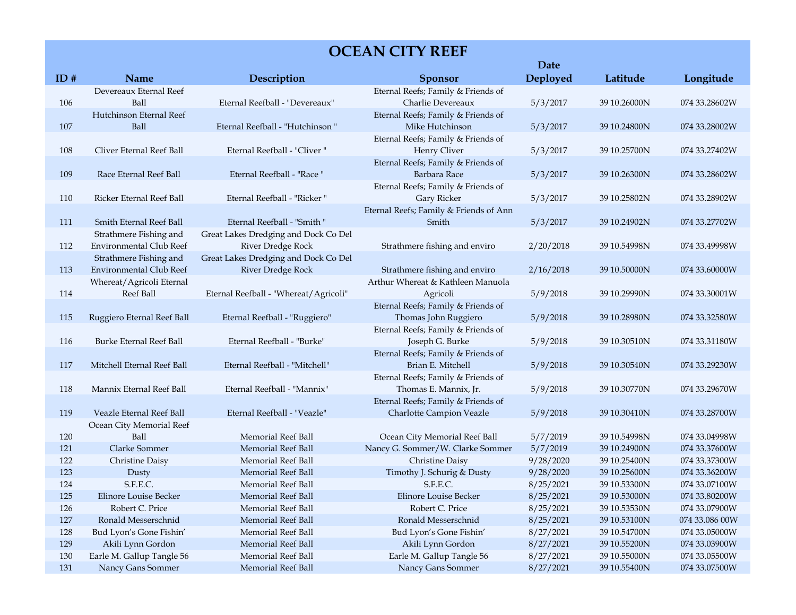## **OCEAN CITY REEF**

|     |                                       |                                       |                                                            | Date      |              |                |
|-----|---------------------------------------|---------------------------------------|------------------------------------------------------------|-----------|--------------|----------------|
| ID# | Name                                  | Description                           | <b>Sponsor</b>                                             | Deployed  | Latitude     | Longitude      |
|     | Devereaux Eternal Reef                |                                       | Eternal Reefs; Family & Friends of                         |           |              |                |
| 106 | Ball                                  | Eternal Reefball - "Devereaux"        | Charlie Devereaux                                          | 5/3/2017  | 39 10.26000N | 074 33.28602W  |
|     | Hutchinson Eternal Reef               |                                       | Eternal Reefs; Family & Friends of                         |           |              |                |
| 107 | Ball                                  | Eternal Reefball - "Hutchinson "      | Mike Hutchinson                                            | 5/3/2017  | 39 10.24800N | 074 33.28002W  |
|     |                                       |                                       | Eternal Reefs; Family & Friends of                         |           |              |                |
| 108 | Cliver Eternal Reef Ball              | Eternal Reefball - "Cliver"           | Henry Cliver                                               | 5/3/2017  | 39 10.25700N | 074 33.27402W  |
|     |                                       |                                       | Eternal Reefs; Family & Friends of                         |           |              |                |
| 109 | Race Eternal Reef Ball                | Eternal Reefball - "Race "            | Barbara Race                                               | 5/3/2017  | 39 10.26300N | 074 33.28602W  |
|     |                                       |                                       | Eternal Reefs; Family & Friends of                         |           |              |                |
| 110 | Ricker Eternal Reef Ball              | Eternal Reefball - "Ricker"           | Gary Ricker                                                | 5/3/2017  | 39 10.25802N | 074 33.28902W  |
|     |                                       |                                       | Eternal Reefs; Family & Friends of Ann                     |           |              |                |
| 111 | Smith Eternal Reef Ball               | Eternal Reefball - "Smith "           | Smith                                                      | 5/3/2017  | 39 10.24902N | 074 33.27702W  |
|     | Strathmere Fishing and                | Great Lakes Dredging and Dock Co Del  |                                                            |           |              |                |
| 112 | Environmental Club Reef               | <b>River Dredge Rock</b>              | Strathmere fishing and enviro                              | 2/20/2018 | 39 10.54998N | 074 33.49998W  |
|     | Strathmere Fishing and                | Great Lakes Dredging and Dock Co Del  |                                                            |           |              |                |
| 113 | Environmental Club Reef               | <b>River Dredge Rock</b>              | Strathmere fishing and enviro                              | 2/16/2018 | 39 10.50000N | 074 33.60000W  |
|     | Whereat/Agricoli Eternal<br>Reef Ball |                                       | Arthur Whereat & Kathleen Manuola                          |           |              |                |
| 114 |                                       | Eternal Reefball - "Whereat/Agricoli" | Agricoli                                                   | 5/9/2018  | 39 10.29990N | 074 33.30001W  |
| 115 | Ruggiero Eternal Reef Ball            | Eternal Reefball - "Ruggiero"         | Eternal Reefs; Family & Friends of<br>Thomas John Ruggiero | 5/9/2018  | 39 10.28980N | 074 33.32580W  |
|     |                                       |                                       | Eternal Reefs; Family & Friends of                         |           |              |                |
| 116 | <b>Burke Eternal Reef Ball</b>        | Eternal Reefball - "Burke"            | Joseph G. Burke                                            | 5/9/2018  | 39 10.30510N | 074 33.31180W  |
|     |                                       |                                       | Eternal Reefs; Family & Friends of                         |           |              |                |
| 117 | Mitchell Eternal Reef Ball            | Eternal Reefball - "Mitchell"         | Brian E. Mitchell                                          | 5/9/2018  | 39 10.30540N | 074 33.29230W  |
|     |                                       |                                       | Eternal Reefs; Family & Friends of                         |           |              |                |
| 118 | Mannix Eternal Reef Ball              | Eternal Reefball - "Mannix"           | Thomas E. Mannix, Jr.                                      | 5/9/2018  | 39 10.30770N | 074 33.29670W  |
|     |                                       |                                       | Eternal Reefs; Family & Friends of                         |           |              |                |
| 119 | Veazle Eternal Reef Ball              | Eternal Reefball - "Veazle"           | Charlotte Campion Veazle                                   | 5/9/2018  | 39 10.30410N | 074 33.28700W  |
|     | Ocean City Memorial Reef              |                                       |                                                            |           |              |                |
| 120 | Ball                                  | Memorial Reef Ball                    | Ocean City Memorial Reef Ball                              | 5/7/2019  | 39 10.54998N | 074 33.04998W  |
| 121 | Clarke Sommer                         | Memorial Reef Ball                    | Nancy G. Sommer/W. Clarke Sommer                           | 5/7/2019  | 39 10.24900N | 074 33.37600W  |
| 122 | Christine Daisy                       | Memorial Reef Ball                    | Christine Daisy                                            | 9/28/2020 | 39 10.25400N | 074 33.37300W  |
| 123 | Dusty                                 | Memorial Reef Ball                    | Timothy J. Schurig & Dusty                                 | 9/28/2020 | 39 10.25600N | 074 33.36200W  |
| 124 | S.F.E.C.                              | Memorial Reef Ball                    | S.F.E.C.                                                   | 8/25/2021 | 39 10.53300N | 074 33.07100W  |
| 125 | Elinore Louise Becker                 | Memorial Reef Ball                    | Elinore Louise Becker                                      | 8/25/2021 | 39 10.53000N | 074 33.80200W  |
| 126 | Robert C. Price                       | Memorial Reef Ball                    | Robert C. Price                                            | 8/25/2021 | 39 10.53530N | 074 33.07900W  |
| 127 | Ronald Messerschnid                   | Memorial Reef Ball                    | Ronald Messerschnid                                        | 8/25/2021 | 39 10.53100N | 074 33.086 00W |
| 128 | Bud Lyon's Gone Fishin'               | <b>Memorial Reef Ball</b>             | Bud Lyon's Gone Fishin'                                    | 8/27/2021 | 39 10.54700N | 074 33.05000W  |
| 129 | Akili Lynn Gordon                     | Memorial Reef Ball                    | Akili Lynn Gordon                                          | 8/27/2021 | 39 10.55200N | 074 33.03900W  |
| 130 | Earle M. Gallup Tangle 56             | Memorial Reef Ball                    | Earle M. Gallup Tangle 56                                  | 8/27/2021 | 39 10.55000N | 074 33.05500W  |
| 131 | Nancy Gans Sommer                     | Memorial Reef Ball                    | Nancy Gans Sommer                                          | 8/27/2021 | 39 10.55400N | 074 33.07500W  |